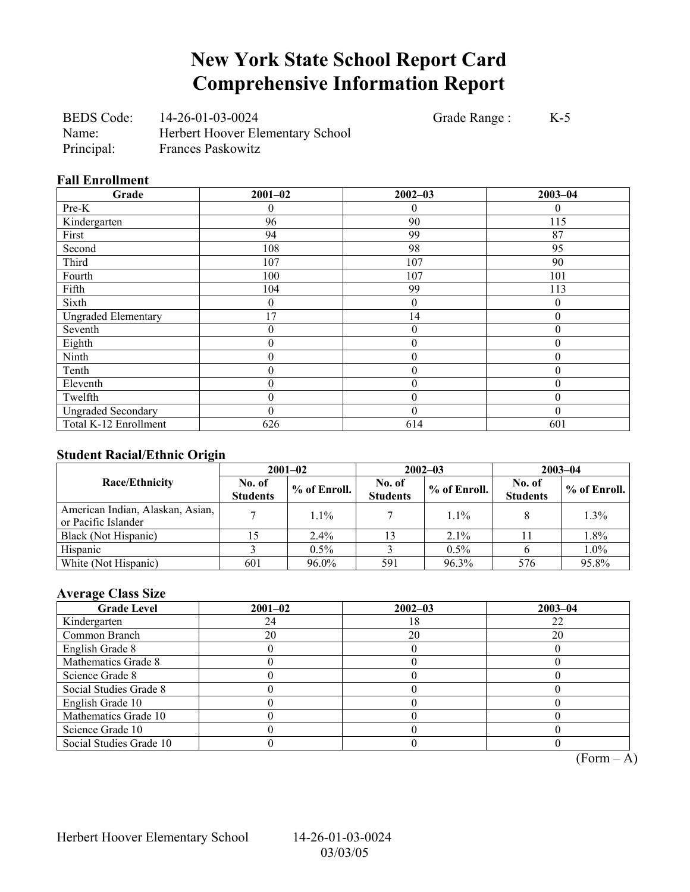## **New York State School Report Card Comprehensive Information Report**

BEDS Code: 14-26-01-03-0024 Grade Range : K-5 Name: Herbert Hoover Elementary School Principal: Frances Paskowitz

#### **Fall Enrollment**

| Grade                      | $2001 - 02$      | $2002 - 03$      | $2003 - 04$  |
|----------------------------|------------------|------------------|--------------|
| Pre-K                      |                  | $\overline{0}$   | $\theta$     |
| Kindergarten               | 96               | 90               | 115          |
| First                      | 94               | 99               | 87           |
| Second                     | 108              | 98               | 95           |
| Third                      | 107              | 107              | 90           |
| Fourth                     | 100              | 107              | 101          |
| Fifth                      | 104              | 99               | 113          |
| Sixth                      | 0                | $\theta$         | $\theta$     |
| <b>Ungraded Elementary</b> | 17               | 14               | $\theta$     |
| Seventh                    | 0                | $\boldsymbol{0}$ | $\mathbf{0}$ |
| Eighth                     | 0                | $\boldsymbol{0}$ | $\theta$     |
| Ninth                      | 0                | $\theta$         | $\theta$     |
| Tenth                      | 0                | $\boldsymbol{0}$ | $\theta$     |
| Eleventh                   | 0                | $\boldsymbol{0}$ | $\theta$     |
| Twelfth                    | $\boldsymbol{0}$ | $\boldsymbol{0}$ | $\theta$     |
| <b>Ungraded Secondary</b>  | 0                | $\theta$         | $\Omega$     |
| Total K-12 Enrollment      | 626              | 614              | 601          |

### **Student Racial/Ethnic Origin**

| ັ                                                       | $2001 - 02$               |                | $2002 - 03$               |              | $2003 - 04$               |                |
|---------------------------------------------------------|---------------------------|----------------|---------------------------|--------------|---------------------------|----------------|
| Race/Ethnicity                                          | No. of<br><b>Students</b> | $%$ of Enroll. | No. of<br><b>Students</b> | % of Enroll. | No. of<br><b>Students</b> | $%$ of Enroll. |
| American Indian, Alaskan, Asian,<br>or Pacific Islander |                           | $1.1\%$        |                           | $1.1\%$      |                           | $1.3\%$        |
| Black (Not Hispanic)                                    |                           | $2.4\%$        |                           | $2.1\%$      |                           | 1.8%           |
| Hispanic                                                |                           | 0.5%           |                           | $0.5\%$      |                           | 1.0%           |
| White (Not Hispanic)                                    | 601                       | 96.0%          | 591                       | 96.3%        | 576                       | 95.8%          |

### **Average Class Size**

| <b>Grade Level</b>      | $2001 - 02$ | $2002 - 03$ | $2003 - 04$ |
|-------------------------|-------------|-------------|-------------|
| Kindergarten            | 24          | 18          | 22          |
| Common Branch           | 20          | 20          | 20          |
| English Grade 8         |             |             |             |
| Mathematics Grade 8     |             |             |             |
| Science Grade 8         |             |             |             |
| Social Studies Grade 8  |             |             |             |
| English Grade 10        |             |             |             |
| Mathematics Grade 10    |             |             |             |
| Science Grade 10        |             |             |             |
| Social Studies Grade 10 |             |             |             |

 $\overline{(Form - A)}$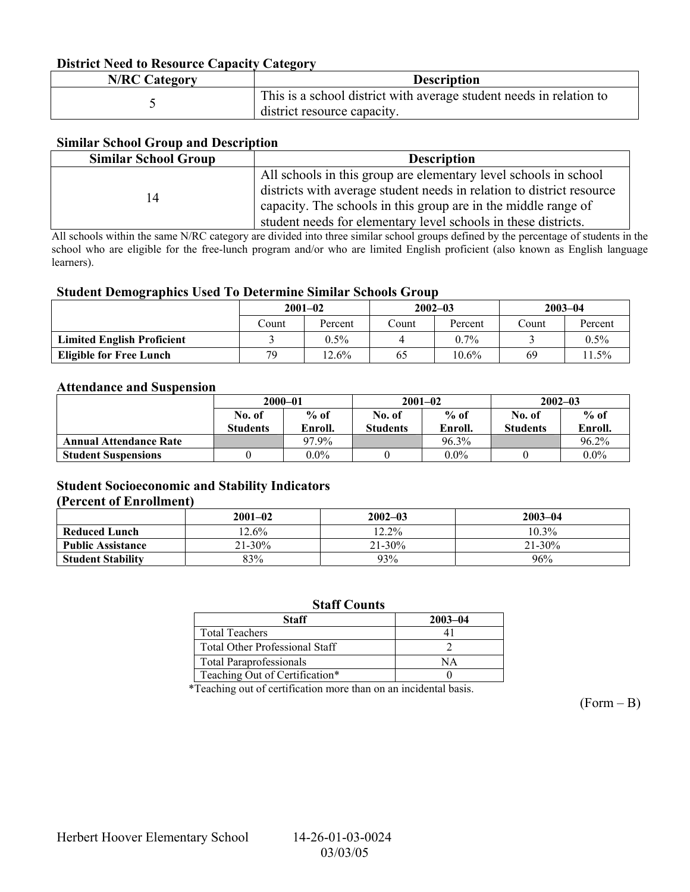### **District Need to Resource Capacity Category**

| <b>N/RC Category</b> | <b>Description</b>                                                                                 |
|----------------------|----------------------------------------------------------------------------------------------------|
|                      | This is a school district with average student needs in relation to<br>district resource capacity. |

### **Similar School Group and Description**

| <b>Similar School Group</b> | <b>Description</b>                                                                                                                                                                                                                                                            |
|-----------------------------|-------------------------------------------------------------------------------------------------------------------------------------------------------------------------------------------------------------------------------------------------------------------------------|
| 14                          | All schools in this group are elementary level schools in school<br>districts with average student needs in relation to district resource<br>capacity. The schools in this group are in the middle range of<br>student needs for elementary level schools in these districts. |

All schools within the same N/RC category are divided into three similar school groups defined by the percentage of students in the school who are eligible for the free-lunch program and/or who are limited English proficient (also known as English language learners).

#### **Student Demographics Used To Determine Similar Schools Group**

|                                   | $2001 - 02$ |          | $2002 - 03$ |          | $2003 - 04$ |         |
|-----------------------------------|-------------|----------|-------------|----------|-------------|---------|
|                                   | Count       | Percent  | Count       | Percent  | Count       | Percent |
| <b>Limited English Proficient</b> |             | $0.5\%$  |             | $0.7\%$  |             | $0.5\%$ |
| <b>Eligible for Free Lunch</b>    | 79          | $12.6\%$ | 65          | $10.6\%$ | 69          | $1.5\%$ |

#### **Attendance and Suspension**

|                               | $2000 - 01$     |         | $2001 - 02$     |         | $2002 - 03$     |         |
|-------------------------------|-----------------|---------|-----------------|---------|-----------------|---------|
|                               | No. of          | $%$ of  | No. of          | $%$ of  | No. of          | $%$ of  |
|                               | <b>Students</b> | Enroll. | <b>Students</b> | Enroll. | <b>Students</b> | Enroll. |
| <b>Annual Attendance Rate</b> |                 | 97.9%   |                 | 96.3%   |                 | 96.2%   |
| <b>Student Suspensions</b>    |                 | $0.0\%$ |                 | $0.0\%$ |                 | $0.0\%$ |

### **Student Socioeconomic and Stability Indicators (Percent of Enrollment)**

|                          | $2001 - 02$ | $2002 - 03$ | $2003 - 04$ |
|--------------------------|-------------|-------------|-------------|
| <b>Reduced Lunch</b>     | $12.6\%$    | $12.2\%$    | $10.3\%$    |
| <b>Public Assistance</b> | $21 - 30%$  | $21 - 30\%$ | $21 - 30\%$ |
| <b>Student Stability</b> | 83%         | 93%         | 96%         |

#### **Staff Counts**

| Staff                                 | $2003 - 04$ |
|---------------------------------------|-------------|
| <b>Total Teachers</b>                 |             |
| <b>Total Other Professional Staff</b> |             |
| <b>Total Paraprofessionals</b>        | NΔ          |
| Teaching Out of Certification*        |             |

\*Teaching out of certification more than on an incidental basis.

 $(Form - B)$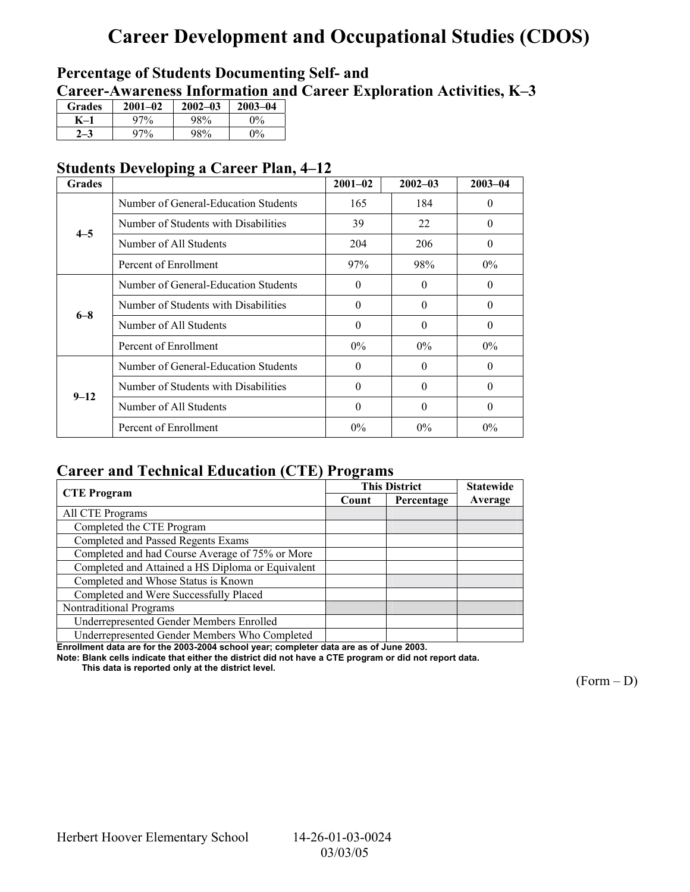# **Career Development and Occupational Studies (CDOS)**

### **Percentage of Students Documenting Self- and**  Career-Awareness Information and Career Exploration Activities, K-3

| <b>Grades</b> | $2001 - 02$ | $2002 - 03$ | $2003 - 04$           |
|---------------|-------------|-------------|-----------------------|
| K-1           | 97%         | 98%         | $0\%$                 |
|               | 97%         | 98%         | $\Omega$ <sup>o</sup> |

### **Students Developing a Career Plan, 4–12**

| <b>Grades</b> |                                      | $2001 - 02$ | $2002 - 03$ | $2003 - 04$ |
|---------------|--------------------------------------|-------------|-------------|-------------|
|               | Number of General-Education Students | 165         | 184         | $\theta$    |
| $4 - 5$       | Number of Students with Disabilities | 39          | 22          | $\theta$    |
|               | Number of All Students               | 204         | 206         | $\theta$    |
|               | Percent of Enrollment                | 97%         | 98%         | $0\%$       |
|               | Number of General-Education Students | $\theta$    | $\Omega$    | 0           |
| $6 - 8$       | Number of Students with Disabilities | $\Omega$    | $\Omega$    | 0           |
|               | Number of All Students               | $\theta$    | $\Omega$    | 0           |
|               | Percent of Enrollment                | $0\%$       | $0\%$       | $0\%$       |
|               | Number of General-Education Students | $\theta$    | $\Omega$    | $\Omega$    |
| $9 - 12$      | Number of Students with Disabilities | $\Omega$    | $\Omega$    | $\theta$    |
|               | Number of All Students               | $\Omega$    | $\Omega$    | $\theta$    |
|               | Percent of Enrollment                | $0\%$       | $0\%$       | $0\%$       |

### **Career and Technical Education (CTE) Programs**

|                                                   |       | <b>This District</b> | <b>Statewide</b> |
|---------------------------------------------------|-------|----------------------|------------------|
| <b>CTE</b> Program                                | Count | Percentage           | Average          |
| All CTE Programs                                  |       |                      |                  |
| Completed the CTE Program                         |       |                      |                  |
| Completed and Passed Regents Exams                |       |                      |                  |
| Completed and had Course Average of 75% or More   |       |                      |                  |
| Completed and Attained a HS Diploma or Equivalent |       |                      |                  |
| Completed and Whose Status is Known               |       |                      |                  |
| Completed and Were Successfully Placed            |       |                      |                  |
| Nontraditional Programs                           |       |                      |                  |
| Underrepresented Gender Members Enrolled          |       |                      |                  |
| Underrepresented Gender Members Who Completed     |       |                      |                  |

**Enrollment data are for the 2003-2004 school year; completer data are as of June 2003.** 

**Note: Blank cells indicate that either the district did not have a CTE program or did not report data.** 

 **This data is reported only at the district level.** 

 $(Form - D)$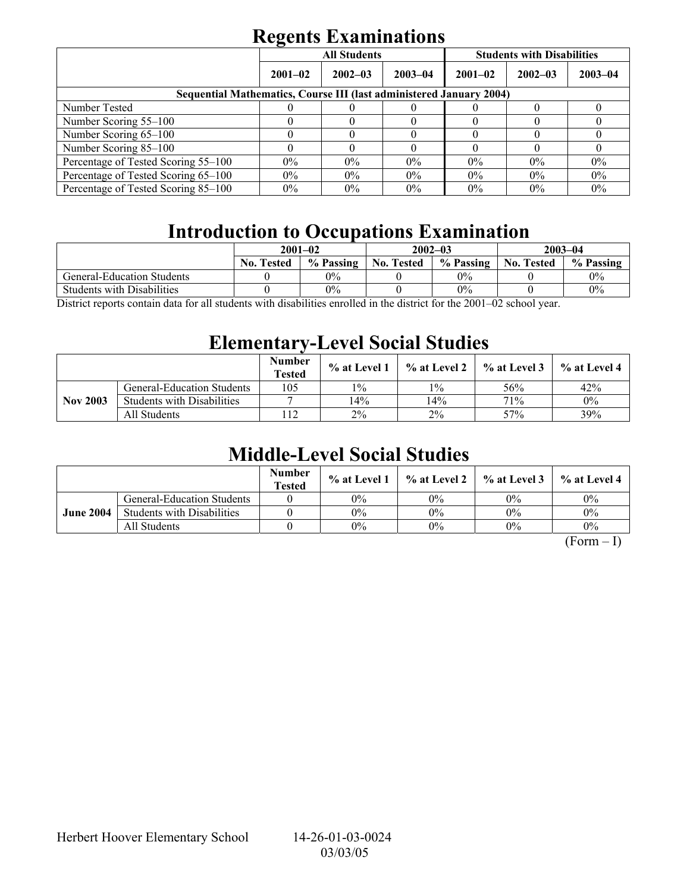# **Regents Examinations**

|                                                                            | $\overline{\phantom{0}}$ | <b>All Students</b> |             | <b>Students with Disabilities</b> |             |             |  |  |
|----------------------------------------------------------------------------|--------------------------|---------------------|-------------|-----------------------------------|-------------|-------------|--|--|
|                                                                            | $2001 - 02$              | $2002 - 03$         | $2003 - 04$ | $2001 - 02$                       | $2002 - 03$ | $2003 - 04$ |  |  |
| <b>Sequential Mathematics, Course III (last administered January 2004)</b> |                          |                     |             |                                   |             |             |  |  |
| Number Tested                                                              |                          |                     |             |                                   |             |             |  |  |
| Number Scoring 55–100                                                      |                          |                     |             |                                   |             |             |  |  |
| Number Scoring 65-100                                                      |                          |                     |             |                                   |             |             |  |  |
| Number Scoring 85-100                                                      |                          |                     |             |                                   |             |             |  |  |
| Percentage of Tested Scoring 55–100                                        | $0\%$                    | $0\%$               | $0\%$       | $0\%$                             | $0\%$       | $0\%$       |  |  |
| Percentage of Tested Scoring 65-100                                        | $0\%$                    | $0\%$               | $0\%$       | $0\%$                             | $0\%$       | $0\%$       |  |  |
| Percentage of Tested Scoring 85–100                                        | $0\%$                    | $0\%$               | $0\%$       | $0\%$                             | $0\%$       | $0\%$       |  |  |

# **Introduction to Occupations Examination**

|                                   | $2001 - 02$       |           |                   | $2002 - 03$ | $2003 - 04$       |           |  |
|-----------------------------------|-------------------|-----------|-------------------|-------------|-------------------|-----------|--|
|                                   | <b>No. Tested</b> | % Passing | <b>No. Tested</b> | % Passing   | <b>No. Tested</b> | % Passing |  |
| General-Education Students        |                   | 0%        |                   | $0\%$       |                   | $0\%$     |  |
| <b>Students with Disabilities</b> |                   | $0\%$     |                   | $0\%$       |                   | $0\%$     |  |
| 0.00100<br>11.<br>-11-            |                   |           |                   |             |                   |           |  |

District reports contain data for all students with disabilities enrolled in the district for the 2001–02 school year.

### **Elementary-Level Social Studies**

|                 |                                   | <b>Number</b><br><b>Tested</b> | % at Level 1 | $\%$ at Level 2 | % at Level 3 | % at Level 4 |
|-----------------|-----------------------------------|--------------------------------|--------------|-----------------|--------------|--------------|
|                 | <b>General-Education Students</b> | 105                            | $1\%$        | $1\%$           | 56%          | 42%          |
| <b>Nov 2003</b> | <b>Students with Disabilities</b> |                                | 14%          | 14%             | 71%          | $0\%$        |
|                 | All Students                      |                                | $2\%$        | $2\%$           | 57%          | 39%          |

## **Middle-Level Social Studies**

|                  |                                   | <b>Number</b><br><b>Tested</b> | $\%$ at Level 1 |       | $\%$ at Level 2 $\%$ at Level 3 | $%$ at Level 4 |
|------------------|-----------------------------------|--------------------------------|-----------------|-------|---------------------------------|----------------|
|                  | <b>General-Education Students</b> |                                | $0\%$           | $0\%$ | $0\%$                           | $0\%$          |
| <b>June 2004</b> | <b>Students with Disabilities</b> |                                | $0\%$           | $0\%$ | $0\%$                           | $0\%$          |
|                  | All Students                      |                                | $0\%$           | $0\%$ | $0\%$                           | $0\%$          |